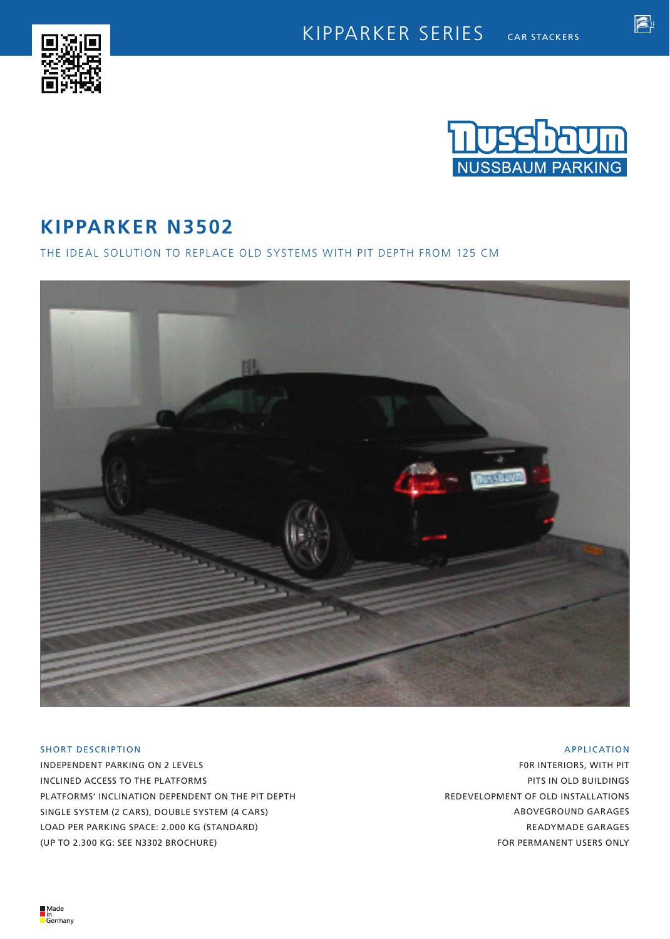



睂

# **KIPPARKER N3502**

THE IDEAL SOLUTION TO REPLACE OLD SYSTEMS WITH PIT DEPTH FROM 125 CM



## SHORT DESCRIPTION

INDEPENDENT PARKING ON 2 LEVELS INCLINED ACCESS TO THE PLATFORMS PLATFORMS' INCLINATION DEPENDENT ON THE PIT DEPTH SINGLE SYSTEM (2 CARS), DOUBLE SYSTEM (4 CARS) LOAD PER PARKING SPACE: 2.000 KG (STANDARD) (UP TO 2.300 KG: SEE N3302 BROCHURE)

### APPLICATION

F0R INTERIORS, WITH PIT PITS IN OLD BUILDINGS REDEVELOPMENT OF OLD INSTALLATIONS ABOVEGROUND GARAGES READYMADE GARAGES FOR PERMANENT USERS ONLY

■Made<br>■in<br>■Germany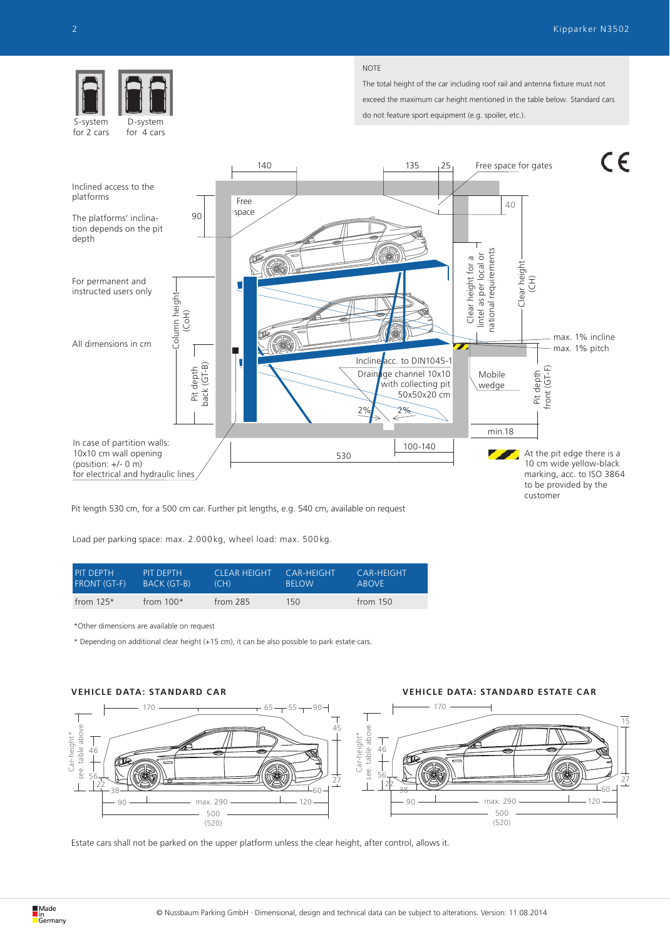

for 4 cars for 2 cars

#### **NOTE**

The total height of the car including roof rail and antenna fixture must not exceed the maximum car height mentioned in the table below. Standard cars do not feature sport equipment (e.g. spoiler, etc.).



Pit length 530 cm, for a 500 cm car. Further pit lengths, e.g. 540 cm, available on request

Load per parking space: max. 2.000 kg, wheel load: max. 500 kg.

| <b>PIT DEPTH</b>    | PIT DEPTH          | 'CLEAR HEIGHT. | CAR-HEIGHT   | <b>CAR-HEIGHT</b> |
|---------------------|--------------------|----------------|--------------|-------------------|
| <b>FRONT (GT-F)</b> | <b>BACK (GT-B)</b> | (CH)           | <b>BELOW</b> | <b>AROVE</b>      |
| from $125*$         | from $100*$        | from $285$     | 150          | from $150$        |

\*Other dimensions are available on request

\* Depending on additional clear height (+15 cm), it can be also possible to park estate cars.



**VEHICLE DATA: STANDARD CAR VEHICLE DATA: STANDARD ESTATE CAR**



Estate cars shall not be parked on the upper platform unless the clear height, after control, allows it.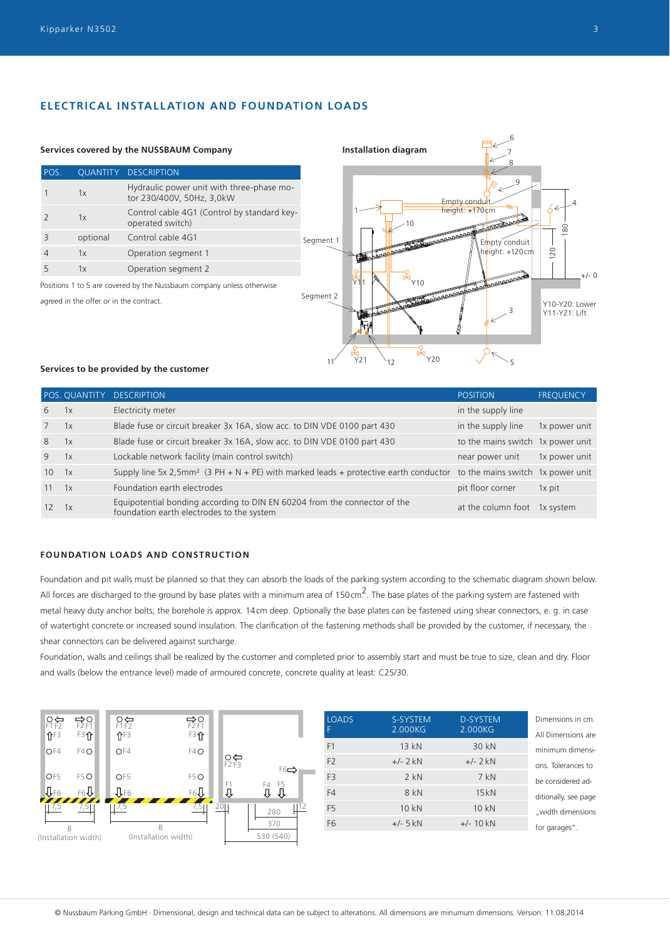## **ELECTRICAL INSTALLATION AND FOUNDATION LOADS**



#### **Services to be provided by the customer**

|             |    | POS. QUANTITY DESCRIPTION                                                                                                          | <b>POSITION</b>                   | <b>FREQUENCY</b> |
|-------------|----|------------------------------------------------------------------------------------------------------------------------------------|-----------------------------------|------------------|
| 6           | 1x | Electricity meter                                                                                                                  | in the supply line                |                  |
| $7^{\circ}$ | 1x | Blade fuse or circuit breaker 3x 16A, slow acc. to DIN VDE 0100 part 430                                                           | in the supply line                | 1x power unit    |
| 8           | 1x | Blade fuse or circuit breaker 3x 16A, slow acc. to DIN VDE 0100 part 430                                                           | to the mains switch 1x power unit |                  |
| 9           | 1x | Lockable network facility (main control switch)                                                                                    | near power unit                   | 1x power unit    |
| 10          | 1x | Supply line 5x 2,5mm <sup>2</sup> (3 PH + N + PE) with marked leads + protective earth conductor to the mains switch 1x power unit |                                   |                  |
| 11          | 1x | Foundation earth electrodes                                                                                                        | pit floor corner                  | 1x pit           |
| 12          | 1x | Equipotential bonding according to DIN EN 60204 from the connector of the<br>foundation earth electrodes to the system             | at the column foot                | 1x system        |

## **FOUNDATION LOADS AND CONSTRUCTION**

Foundation and pit walls must be planned so that they can absorb the loads of the parking system according to the schematic diagram shown below. All forces are discharged to the ground by base plates with a minimum area of 150cm<sup>2</sup>. The base plates of the parking system are fastened with metal heavy duty anchor bolts; the borehole is approx. 14cm deep. Optionally the base plates can be fastened using shear connectors, e. g. in case of watertight concrete or increased sound insulation. The clarification of the fastening methods shall be provided by the customer, if necessary, the shear connectors can be delivered against surcharge.

Foundation, walls and ceilings shall be realized by the customer and completed prior to assembly start and must be true to size, clean and dry. Floor and walls (below the entrance level) made of armoured concrete, concrete quality at least: C25/30.



| <b>LOADS</b>   | S-SYSTEM<br>2.000KG | <b>D-SYSTEM</b><br>2.000KG | Dimensions in cm.                      |
|----------------|---------------------|----------------------------|----------------------------------------|
| F <sub>1</sub> | 13kN                | 30 kN                      | All Dimensions are<br>minimum dimensi- |
| F <sub>2</sub> | $+/- 2$ kN          | $+/- 2$ kN                 | ons. Tolerances to                     |
| F <sub>3</sub> | $2$ kN              | $7$ kN                     | be considered ad-                      |
| F4             | 8 kN                | 15kN                       | ditionally, see page                   |
| F <sub>5</sub> | 10 kN               | 10 kN                      | "width dimensions                      |
| F <sub>6</sub> | $+/-$ 5 kN          | $+/- 10$ kN                | for garages".                          |
|                |                     |                            |                                        |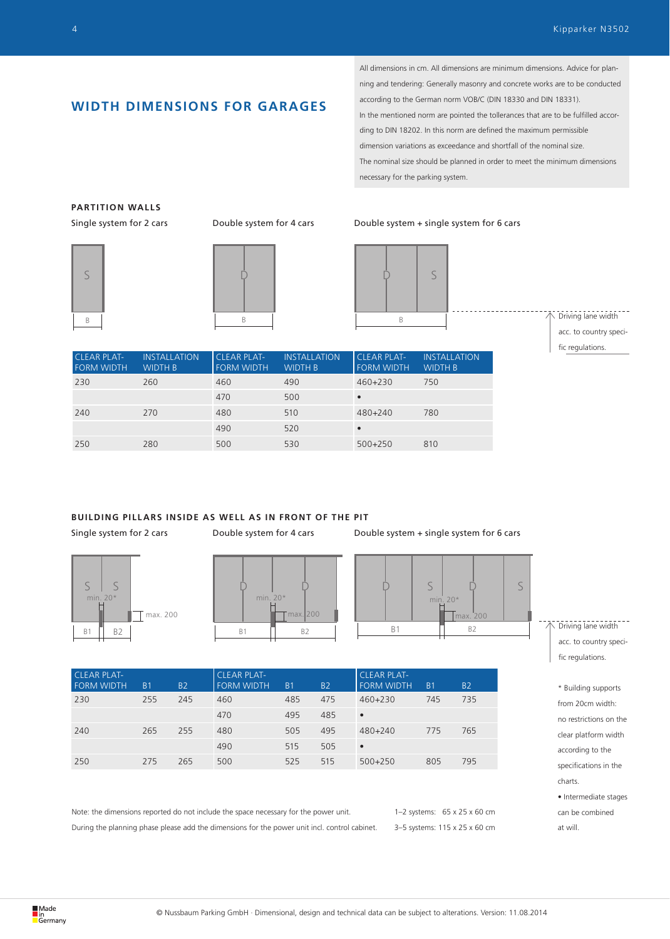## **WIDTH DIMENSIONS FOR GARAGES**

All dimensions in cm. All dimensions are minimum dimensions. Advice for planning and tendering: Generally masonry and concrete works are to be conducted according to the German norm VOB/C (DIN 18330 and DIN 18331). In the mentioned norm are pointed the tollerances that are to be fulfilled according to DIN 18202. In this norm are defined the maximum permissible dimension variations as exceedance and shortfall of the nominal size. The nominal size should be planned in order to meet the minimum dimensions necessary for the parking system.

## **PARTITION WALLS**





#### Single system for 2 cars Double system for 4 cars Double system + single system for 6 cars



Driving lane width acc. to country specific regulations.

| <b>CLEAR PLAT-</b><br><b>FORM WIDTH</b> | <b>INSTALLATION</b><br><b>WIDTH B</b> | <b>CLEAR PLAT-</b><br><b>FORM WIDTH</b> | <b>INSTALLATION</b><br><b>WIDTH B</b> | <b>CLEAR PLAT-</b><br><b>FORM WIDTH</b> | <b>INSTALLATION</b><br><b>WIDTH B</b> |
|-----------------------------------------|---------------------------------------|-----------------------------------------|---------------------------------------|-----------------------------------------|---------------------------------------|
| 230                                     | 260                                   | 460                                     | 490                                   | $460 + 230$                             | 750                                   |
|                                         |                                       | 470                                     | 500                                   |                                         |                                       |
| 240                                     | 270                                   | 480                                     | 510                                   | 480+240                                 | 780                                   |
|                                         |                                       | 490                                     | 520                                   |                                         |                                       |
| 250                                     | 280                                   | 500                                     | 530                                   | $500+250$                               | 810                                   |

## **BUILDING PILLARS INSIDE AS WELL AS IN FRONT OF THE PIT**



FORM WIDTH B1 B2

CLEAR PLAT-



FORM WIDTH B1 B2

230 255 245 460 485 475 460+230 745 735 470 495 485 •

240 265 255 480 505 495 480+240 775 765 490 515 505 • 250 275 265 500 525 515 500+250 805 795

Single system for 2 cars Double system for 4 cars Double system + single system for 6 cars



CLEAR PLAT-

FORM WIDTH B1 B2

---------------<br>> Driving lane width acc. to country specific regulations.

\* Building supports from 20cm width: no restrictions on the clear platform width according to the specifications in the charts. • Intermediate stages can be combined at will.

Note: the dimensions reported do not include the space necessary for the power unit. During the planning phase please add the dimensions for the power unit incl. control cabinet.

CLEAR PLAT-

1–2 systems: 65 x 25 x 60 cm 3–5 systems: 115 x 25 x 60 cm

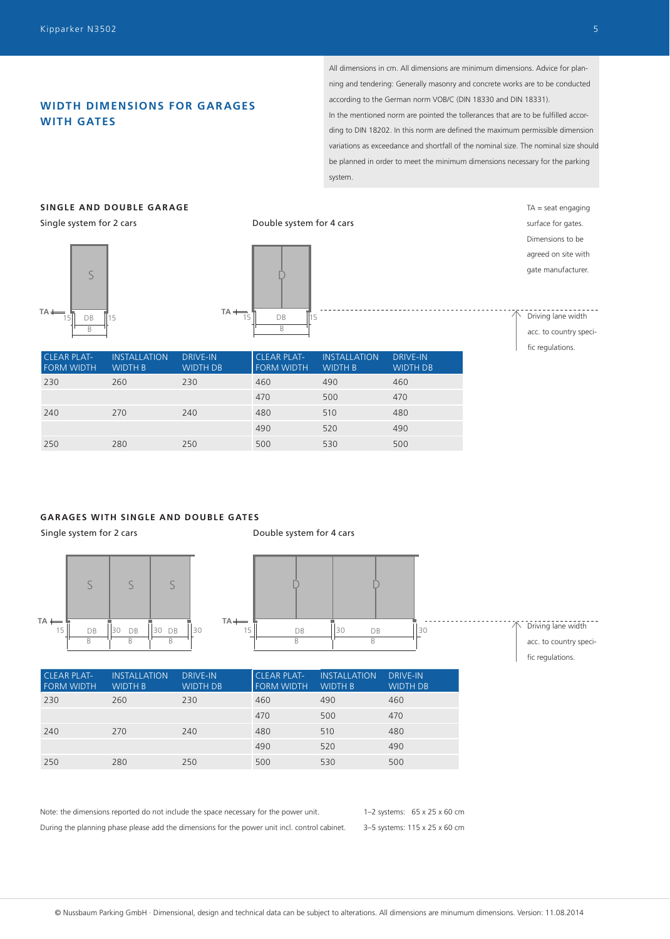## **WIDTH DIMENSIONS FOR GARAGES WITH GATES**

All dimensions in cm. All dimensions are minimum dimensions. Advice for planning and tendering: Generally masonry and concrete works are to be conducted according to the German norm VOB/C (DIN 18330 and DIN 18331). In the mentioned norm are pointed the tollerances that are to be fulfilled according to DIN 18202. In this norm are defined the maximum permissible dimension variations as exceedance and shortfall of the nominal size. The nominal size should be planned in order to meet the minimum dimensions necessary for the parking system.

## **SINGLE AND DOUBLE GARAGE**

Single system for 2 cars





Double system for 4 cars

 $TA =$  seat engaging surface for gates. Dimensions to be agreed on site with gate manufacturer.

Driving lane width acc. to country specific regulations.

| <b>CLEAR PLAT-</b><br><b>FORM WIDTH</b> | <b>INSTALLATION</b><br><b>WIDTH B</b> | <b>DRIVE-IN</b><br><b>WIDTH DB</b> | <b>CLEAR PLAT-</b><br><b>FORM WIDTH</b> | <b>INSTALLATION</b><br><b>WIDTH B</b> | <b>DRIVE-IN</b><br><b>WIDTH DB</b> |
|-----------------------------------------|---------------------------------------|------------------------------------|-----------------------------------------|---------------------------------------|------------------------------------|
| 230                                     | 260                                   | 230                                | 460                                     | 490                                   | 460                                |
|                                         |                                       |                                    | 470                                     | 500                                   | 470                                |
| 240                                     | 270                                   | 240                                | 480                                     | 510                                   | 480                                |
|                                         |                                       |                                    | 490                                     | 520                                   | 490                                |
| 250                                     | 280                                   | 250                                | 500                                     | 530                                   | 500                                |

## **GARAGES WITH SINGLE AND DOUBLE GATES**

Single system for 2 cars



Double system for 4 cars





fic regulations.

| <b>CLEAR PLAT-</b><br><b>FORM WIDTH</b> | <b>INSTALLATION</b><br><b>WIDTH B</b> | <b>DRIVE-IN</b><br><b>WIDTH DB</b> | <b>CLEAR PLAT-</b><br><b>FORM WIDTH</b> | <b>INSTALLATION</b><br><b>WIDTH B</b> | <b>DRIVE-IN</b><br><b>WIDTH DB</b> |
|-----------------------------------------|---------------------------------------|------------------------------------|-----------------------------------------|---------------------------------------|------------------------------------|
| 230                                     | 260                                   | 230                                | 460                                     | 490                                   | 460                                |
|                                         |                                       |                                    | 470                                     | 500                                   | 470                                |
| 240                                     | 270                                   | 240                                | 480                                     | 510                                   | 480                                |
|                                         |                                       |                                    | 490                                     | 520                                   | 490                                |
| 250                                     | 280                                   | 250                                | 500                                     | 530                                   | 500                                |

1–2 systems: 65 x 25 x 60 cm 3–5 systems: 115 x 25 x 60 cm Note: the dimensions reported do not include the space necessary for the power unit. During the planning phase please add the dimensions for the power unit incl. control cabinet.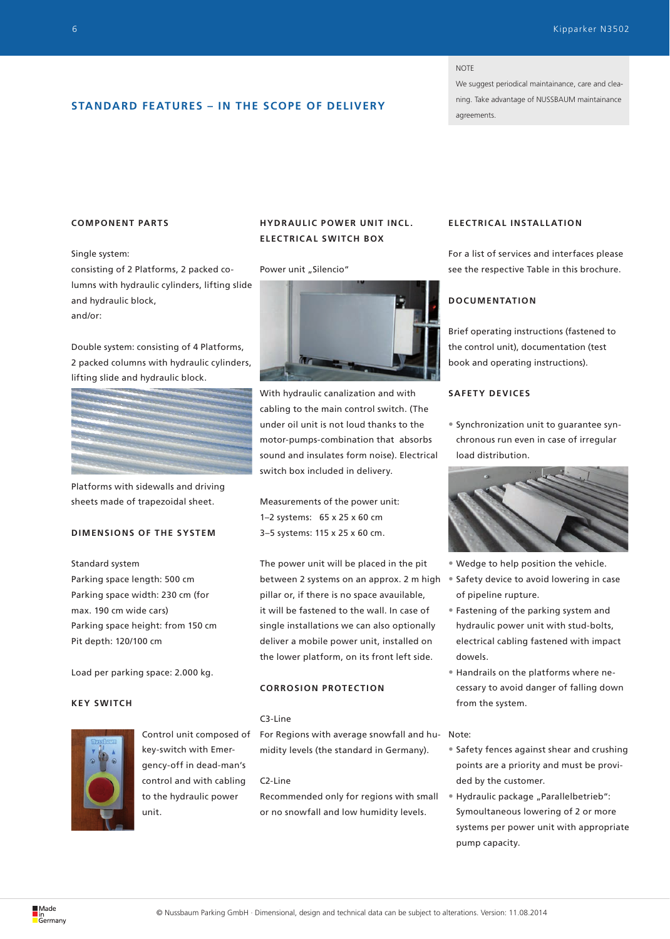#### NOTE

We suggest periodical maintainance, care and cleaning. Take advantage of NUSSBAUM maintainance agreements.

## **STANDARD FEATURES – IN THE SCOPE OF DELIVERY**

#### **COMPONENT PARTS**

Single system:

consisting of 2 Platforms, 2 packed columns with hydraulic cylinders, lifting slide and hydraulic block, and/or:

Double system: consisting of 4 Platforms, 2 packed columns with hydraulic cylinders, lifting slide and hydraulic block.



Platforms with sidewalls and driving sheets made of trapezoidal sheet.

## **DIMENSIONS OF THE SYSTEM**

Standard system

Parking space length: 500 cm Parking space width: 230 cm (for max. 190 cm wide cars) Parking space height: from 150 cm Pit depth: 120/100 cm

Load per parking space: 2.000 kg.

#### **KEY SWITCH**



Control unit composed of key-switch with Emergency-off in dead-man's control and with cabling to the hydraulic power unit.

## **HYDRAULIC POWER UNIT INCL. ELECTRICAL SWITCH BOX**

Power unit "Silencio"



With hydraulic canalization and with cabling to the main control switch. (The under oil unit is not loud thanks to the motor-pumps-combination that absorbs sound and insulates form noise). Electrical switch box included in delivery.

Measurements of the power unit: 1–2 systems: 65 x 25 x 60 cm 3–5 systems: 115 x 25 x 60 cm.

The power unit will be placed in the pit between 2 systems on an approx. 2 m high pillar or, if there is no space avauilable, it will be fastened to the wall. In case of single installations we can also optionally deliver a mobile power unit, installed on the lower platform, on its front left side.

## **CORROSION PROTECTION**

#### C3-Line

For Regions with average snowfall and hu-Note: midity levels (the standard in Germany).

#### C2-Line

Recommended only for regions with small or no snowfall and low humidity levels.

## **ELEC TRIC AL INSTALL ATION**

For a list of services and interfaces please see the respective Table in this brochure.

## **DOCUMENTATION**

Brief operating instructions (fastened to the control unit), documentation (test book and operating instructions).

#### **SAFETY DEVICES**

• Synchronization unit to guarantee synchronous run even in case of irregular load distribution.



- Wedge to help position the vehicle.
- Safety device to avoid lowering in case of pipeline rupture.
- Fastening of the parking system and hydraulic power unit with stud-bolts, electrical cabling fastened with impact dowels.
- Handrails on the platforms where necessary to avoid danger of falling down from the system.

- Safety fences against shear and crushing points are a priority and must be provided by the customer.
- Hydraulic package "Parallelbetrieb": Symoultaneous lowering of 2 or more systems per power unit with appropriate pump capacity.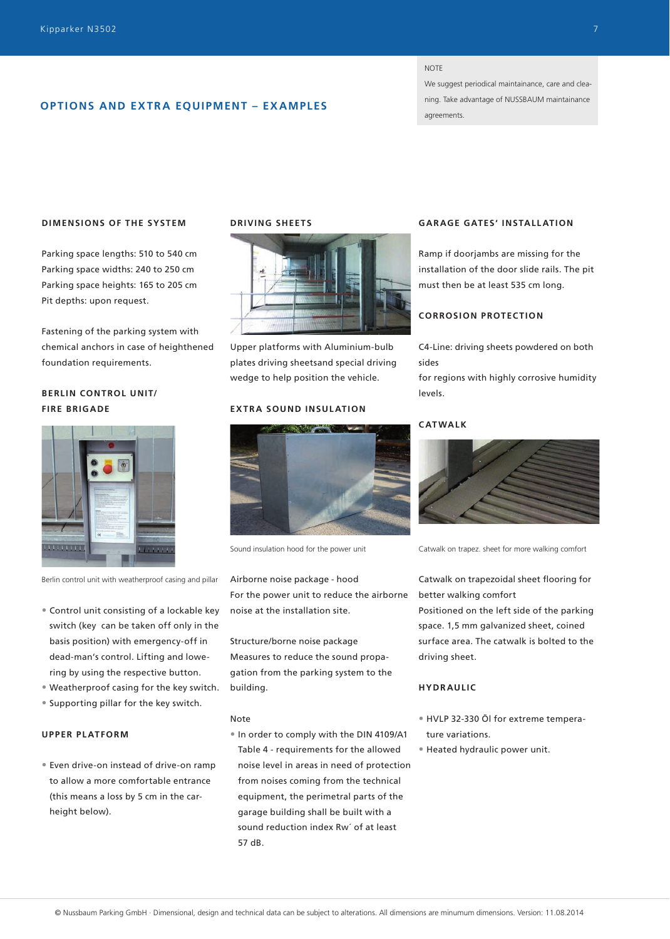## **OPTIONS AND EXTRA EQUIPMENT – EXAMPLES**

#### **NOTE**

We suggest periodical maintainance, care and cleaning. Take advantage of NUSSBAUM maintainance agreements.

#### **DIMENSIONS OF THE SYSTEM**

Parking space lengths: 510 to 540 cm Parking space widths: 240 to 250 cm Parking space heights: 165 to 205 cm Pit depths: upon request.

Fastening of the parking system with chemical anchors in case of heighthened foundation requirements.

## **BERLIN CONTROL UNIT/ FIRE BRIGADE**



Berlin control unit with weatherproof casing and pillar

- Control unit consisting of a lockable key switch (key can be taken off only in the basis position) with emergency-off in dead-man's control. Lifting and lowering by using the respective button.
- Weatherproof casing for the key switch.
- Supporting pillar for the key switch.

#### **UPPER PLATFORM**

• Even drive-on instead of drive-on ramp to allow a more comfortable entrance (this means a loss by 5 cm in the carheight below).

## **DRIVING SHEETS**



Upper platforms with Aluminium-bulb plates driving sheetsand special driving wedge to help position the vehicle.

#### **EXTRA SOUND INSULATION**



Sound insulation hood for the power unit

Airborne noise package - hood For the power unit to reduce the airborne noise at the installation site.

Structure/borne noise package Measures to reduce the sound propagation from the parking system to the building.

#### Note

• In order to comply with the DIN 4109/A1 Table 4 - requirements for the allowed noise level in areas in need of protection from noises coming from the technical equipment, the perimetral parts of the garage building shall be built with a sound reduction index Rw´ of at least 57 dB.

## **GAR AGE GATES' INSTALL ATION**

Ramp if doorjambs are missing for the installation of the door slide rails. The pit must then be at least 535 cm long.

#### **CORROSION PROTECTION**

C4-Line: driving sheets powdered on both sides

for regions with highly corrosive humidity levels.

#### **CATWALK**



Catwalk on trapez. sheet for more walking comfort

Catwalk on trapezoidal sheet flooring for better walking comfort

Positioned on the left side of the parking space. 1,5 mm galvanized sheet, coined surface area. The catwalk is bolted to the driving sheet.

## **HYDRAULIC**

- HVLP 32-330 Öl for extreme temperature variations.
- Heated hydraulic power unit.